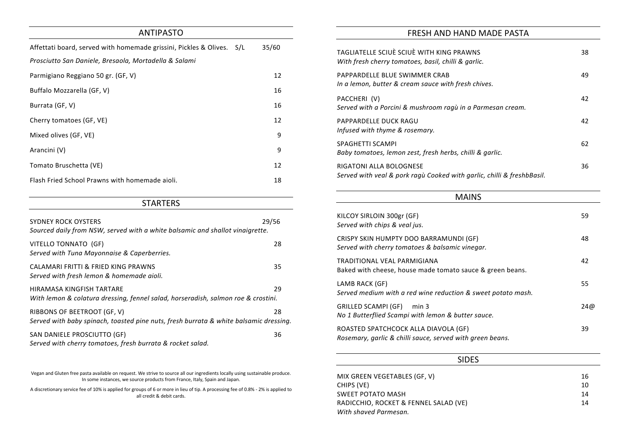# ANTIPASTO

| Affettati board, served with homemade grissini, Pickles & Olives. S/L | 35/60 |
|-----------------------------------------------------------------------|-------|
| Prosciutto San Daniele, Bresaola, Mortadella & Salami                 |       |
| Parmigiano Reggiano 50 gr. (GF, V)                                    | 12    |
| Buffalo Mozzarella (GF, V)                                            | 16    |
| Burrata (GF, V)                                                       | 16    |
| Cherry tomatoes (GF, VE)                                              | 12    |
| Mixed olives (GF, VE)                                                 | 9     |
| Arancini (V)                                                          | 9     |
| Tomato Bruschetta (VE)                                                | 12    |
| Flash Fried School Prawns with homemade aioli.                        | 18    |

## **STARTERS**

| <b>SYDNEY ROCK OYSTERS</b><br>Sourced daily from NSW, served with a white balsamic and shallot vinaigrette.          | 29/56 |
|----------------------------------------------------------------------------------------------------------------------|-------|
| VITELLO TONNATO (GF)<br>Served with Tuna Mayonnaise & Caperberries.                                                  | 28    |
| <b>CALAMARI FRITTI &amp; FRIED KING PRAWNS</b><br>Served with fresh lemon & homemade aioli.                          | 35    |
| HIRAMASA KINGFISH TARTARE<br>With lemon & colatura dressing, fennel salad, horseradish, salmon roe & crostini.       | 29    |
| RIBBONS OF BEETROOT (GF, V)<br>Served with baby spinach, toasted pine nuts, fresh burrata & white balsamic dressing. | 28    |
| SAN DANIELE PROSCIUTTO (GF)<br>Served with cherry tomatoes, fresh burrata & rocket salad.                            | 36    |

Vegan and Gluten free pasta available on request. We strive to source all our ingredients locally using sustainable produce. In some instances, we source products from France, Italy, Spain and Japan.

A discretionary service fee of 10% is applied for groups of 6 or more in lieu of tip. A processing fee of 0.8% - 2% is applied to all credit & debit cards.

MIX GREEN VEGETABLES (GF, V) 16 CHIPS (VE) 10 SWEET POTATO MASH 14 RADICCHIO, ROCKET & FENNEL SALAD (VE) 14 *With shaved Parmesan.*

| GF)                          | 48  |
|------------------------------|-----|
| negar.<br>uce & green beans. | 42  |
|                              | 55  |
| k sweet potato mash.         | 24@ |
| er sauce.                    | 39  |
| green beans.                 |     |

| ×<br>×<br>×<br>۰.<br>v<br>× |
|-----------------------------|
|-----------------------------|

| FRESH AND HAND MADE PASTA                                                                                |    |
|----------------------------------------------------------------------------------------------------------|----|
| TAGLIATELLE SCIUÈ SCIUÈ WITH KING PRAWNS<br>With fresh cherry tomatoes, basil, chilli & garlic.          | 38 |
| PAPPARDELLE BLUE SWIMMER CRAB<br>In a lemon, butter & cream sauce with fresh chives.                     | 49 |
| PACCHERI (V)<br>Served with a Porcini & mushroom ragù in a Parmesan cream.                               | 42 |
| <b>PAPPARDELLE DUCK RAGU</b><br>Infused with thyme & rosemary.                                           | 42 |
| <b>SPAGHETTI SCAMPI</b><br>Baby tomatoes, lemon zest, fresh herbs, chilli & garlic.                      | 62 |
| <b>RIGATONI ALLA BOLOGNESE</b><br>Served with veal & pork ragù Cooked with garlic, chilli & freshbBasil. | 36 |
| <b>MAINS</b>                                                                                             |    |
| KILCOY SIRLOIN 300gr (GF)<br>Served with chips & veal jus.                                               | 59 |
| CRICOV CKINI HIIMADTV DOO RARRAMIINDI (CE)                                                               | ΛQ |

| KILCOY SIRLOIN 300gr (GF)<br>Served with chips & veal jus.                                        | 59  |
|---------------------------------------------------------------------------------------------------|-----|
| CRISPY SKIN HUMPTY DOO BARRAMUNDI (GF)<br>Served with cherry tomatoes & balsamic vinegar.         | 48  |
| TRADITIONAL VEAL PARMIGIANA<br>Baked with cheese, house made tomato sauce & green beans.          | 42  |
| LAMB RACK (GF)<br>Served medium with a red wine reduction & sweet potato mash.                    | 55  |
| GRILLED SCAMPI (GF)<br>min <sub>3</sub><br>No 1 Butterflied Scampi with lemon & butter sauce.     | 24@ |
| ROASTED SPATCHCOCK ALLA DIAVOLA (GF)<br>Rosemary, garlic & chilli sauce, served with green beans. | 39  |
|                                                                                                   |     |

### SIDE